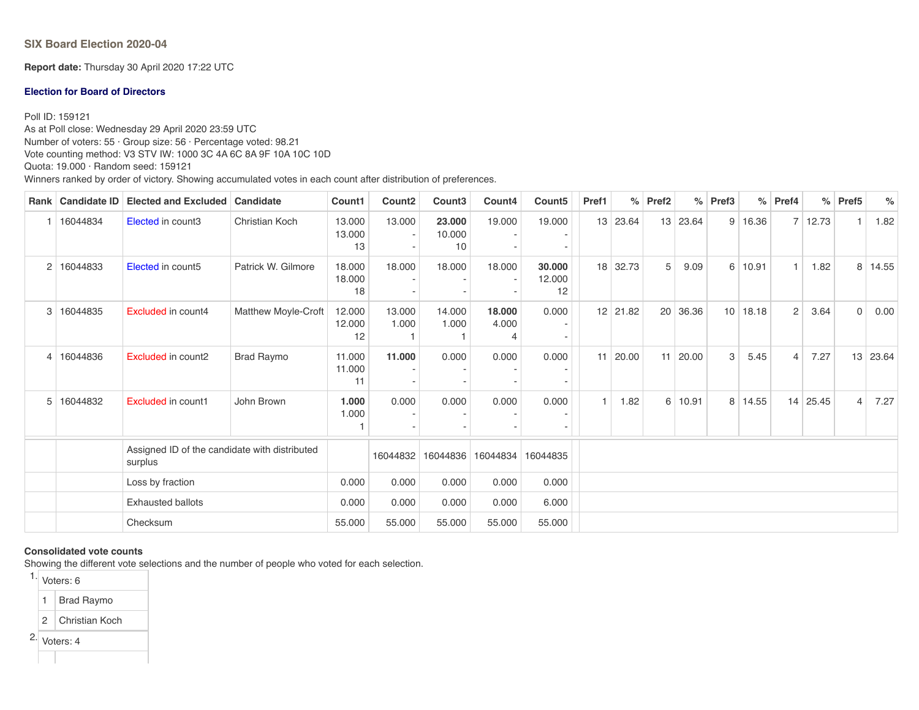**SIX Board Election 2020-04**

**Report date:** Thursday 30 April 2020 17:22 UTC

#### **Election for Board of Directors**

Poll ID: 159121

As at Poll close: Wednesday 29 April 2020 23:59 UTC Number of voters: 55 · Group size: 56 · Percentage voted: 98.21 Vote counting method: V3 STV IW: 1000 3C 4A 6C 8A 9F 10A 10C 10D Quota: 19.000 · Random seed: 159121 Winners ranked by order of victory. Showing accumulated votes in each count after distribution of preferences.

| <b>Rank</b> | <b>Candidate ID</b> | <b>Elected and Excluded</b>                              | Candidate                  | Count1                 | Count <sub>2</sub> | Count <sub>3</sub>     | Count4          | Count <sub>5</sub>     | Pref1          | %          | Pref <sub>2</sub> | $\%$  | Pref <sub>3</sub> | $\%$      | Pref4          |                 | $%$ Pref5      | $\frac{6}{6}$ |
|-------------|---------------------|----------------------------------------------------------|----------------------------|------------------------|--------------------|------------------------|-----------------|------------------------|----------------|------------|-------------------|-------|-------------------|-----------|----------------|-----------------|----------------|---------------|
|             | 16044834            | Elected in count3                                        | <b>Christian Koch</b>      | 13.000<br>13.000<br>13 | 13.000             | 23.000<br>10.000<br>10 | 19.000          | 19.000                 | 13             | 23.64      | 13                | 23.64 |                   | 9   16.36 |                | 7 12.73         | $\mathbf{1}$   | 1.82          |
| 2           | 16044833            | Elected in count5                                        | Patrick W. Gilmore         | 18.000<br>18.000<br>18 | 18.000             | 18.000                 | 18.000          | 30.000<br>12.000<br>12 | 18             | 32.73      | 5                 | 9.09  | 6                 | 10.91     | 1 <sup>1</sup> | 1.82            | 8              | 14.55         |
| 3           | 16044835            | <b>Excluded in count4</b>                                | <b>Matthew Moyle-Croft</b> | 12.000<br>12.000<br>12 | 13.000<br>1.000    | 14.000<br>1.000        | 18.000<br>4.000 | 0.000                  |                | $12$ 21.82 | 20                | 36.36 | 10 <sup>°</sup>   | 18.18     | $\overline{2}$ | 3.64            | $\mathbf 0$    | 0.00          |
| 4           | 16044836            | Excluded in count2                                       | Brad Raymo                 | 11.000<br>11.000<br>11 | 11.000             | 0.000                  | 0.000           | 0.000                  | 11             | 20.00      | 11                | 20.00 | 3                 | 5.45      | $\overline{4}$ | 7.27            | 13             | 23.64         |
| 5           | 16044832            | Excluded in count1                                       | John Brown                 | 1.000<br>1.000         | 0.000              | 0.000                  | 0.000           | 0.000                  | $\overline{1}$ | 1.82       | 6                 | 10.91 |                   | 8 14.55   |                | $14 \mid 25.45$ | $\overline{4}$ | 7.27          |
|             |                     | Assigned ID of the candidate with distributed<br>surplus |                            |                        | 16044832           | 16044836               | 16044834        | 16044835               |                |            |                   |       |                   |           |                |                 |                |               |
|             |                     | Loss by fraction                                         | 0.000                      | 0.000                  | 0.000              | 0.000                  | 0.000           |                        |                |            |                   |       |                   |           |                |                 |                |               |
|             |                     | <b>Exhausted ballots</b>                                 | 0.000                      | 0.000                  | 0.000              | 0.000                  | 6.000           |                        |                |            |                   |       |                   |           |                |                 |                |               |
|             |                     | Checksum                                                 |                            |                        | 55.000             | 55.000                 | 55.000          | 55.000                 |                |            |                   |       |                   |           |                |                 |                |               |

#### **Consolidated vote counts**

Showing the different vote selections and the number of people who voted for each selection.

1. Voters: 6

1 Brad Raymo

2 Christian Koch

2. Voters: 4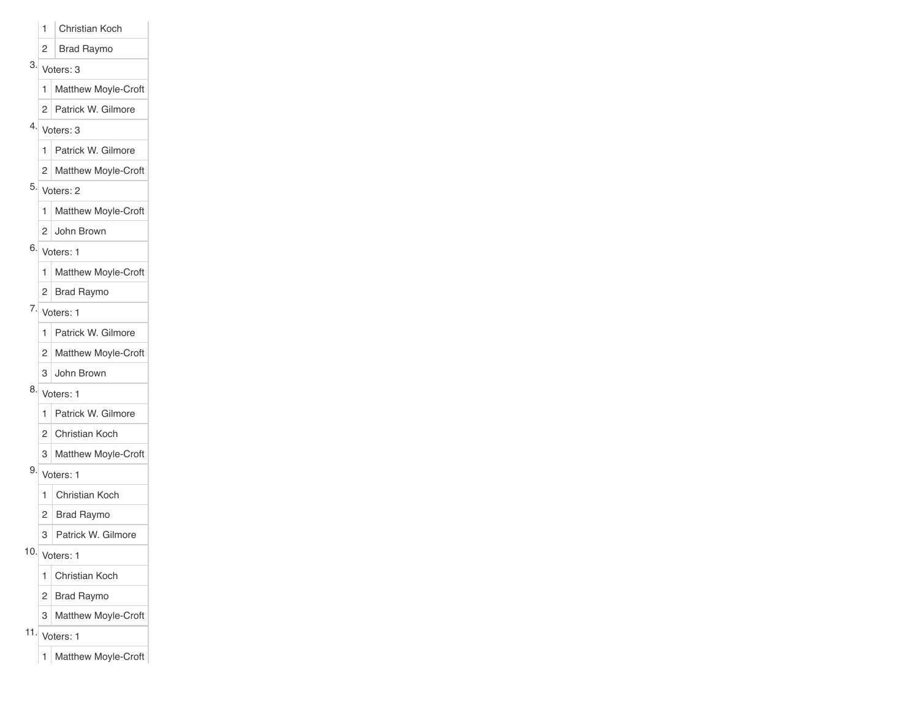- 1 Christian Koch
- 2 Brad Raymo

## 3. Voters: 3

- 1 Matthew Moyle-Croft
- 2 Patrick W. Gilmore
- 4. Voters: 3

### 1 Patrick W. Gilmore

- 2 Matthew Moyle-Croft
- 5. Voters: 2
	- 1 Matthew Moyle-Croft
	- 2 John Brown
- 6. Voters: 1
	- 1 Matthew Moyle-Croft
	- 2 Brad Raymo
- $7\sqrt{$  Voters: 1
	- 1 Patrick W. Gilmore
	- 2 Matthew Moyle-Croft
	- 3 John Brown
- 8. Voters: 1
	- 1 Patrick W. Gilmore
	- 2 Christian Koch
	- 3 Matthew Moyle-Croft
- 9. Voters: 1
	- 1 Christian Koch
	- 2 Brad Raymo
	- 3 Patrick W. Gilmore
- 10.  $|V_{\text{oters}: 1}|$ 
	- 1 Christian Koch
	- 2 Brad Raymo
	- 3 Matthew Moyle-Croft
- 11. Voters: 1
	- 1 Matthew Moyle-Croft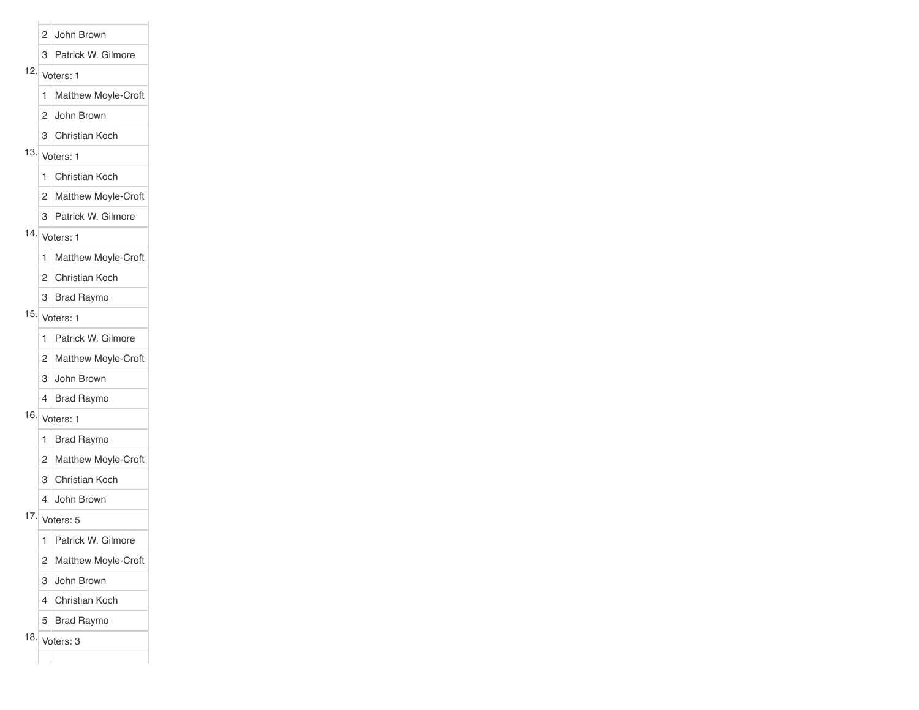#### 2 John Brown

#### 3 Patrick W. Gilmore

## 12.  $Veters: 1$

- 1 Matthew Moyle-Croft
- 2 John Brown
- 3 Christian Koch

## 13.  $Veters: 1$

1 Christian Koch

- 2 Matthew Moyle-Croft
- 3 Patrick W. Gilmore

## 14. Voters:  $1$

1 | Matthew Moyle-Croft

2 Christian Koch

3 Brad Raymo

## 15. Voters: 1

- 1 Patrick W. Gilmore
- 2 Matthew Moyle-Croft
- 3 John Brown
- 4 Brad Raymo

## 16. Voters: 1

- 1 Brad Raymo
- 2 Matthew Moyle-Croft
- 3 Christian Koch
- 4 John Brown
- $17.\overline{\phantom{a}}$  Voters: 5
	- 1 Patrick W. Gilmore
	- 2 Matthew Moyle-Croft
	- 3 John Brown
	- 4 Christian Koch
	- 5 Brad Raymo
- 18. Voters: 3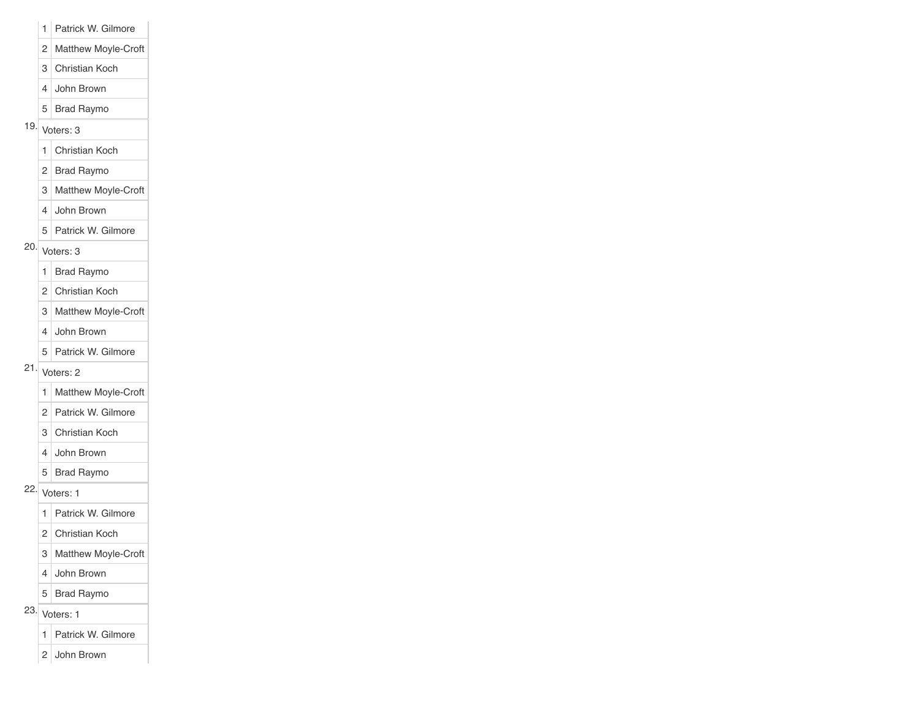- 1 Patrick W. Gilmore
- 2 Matthew Moyle-Croft
- 3 Christian Koch
- 4 John Brown
- 5 Brad Raymo
- $19.$  Voters: 3
	- 1 Christian Koch
	- 2 Brad Raymo
	- 3 Matthew Moyle-Croft
	- 4 John Brown
	- 5 Patrick W. Gilmore
- 20. Voters: 3
	- 1 Brad Raymo
	- 2 Christian Koch
	- 3 Matthew Moyle-Croft
	- 4 John Brown
	- 5 Patrick W. Gilmore
- 21. Voters: 2
	- 1 Matthew Moyle-Croft
	- 2 Patrick W. Gilmore
	- 3 Christian Koch
	- 4 John Brown
	- 5 Brad Raymo
- 22. Voters: 1
	- 1 Patrick W. Gilmore
	- 2 Christian Koch
	- 3 Matthew Moyle-Croft
	- 4 John Brown
	- 5 Brad Raymo
- $23.$  Voters: 1
	- 1 Patrick W. Gilmore
	- 2 John Brown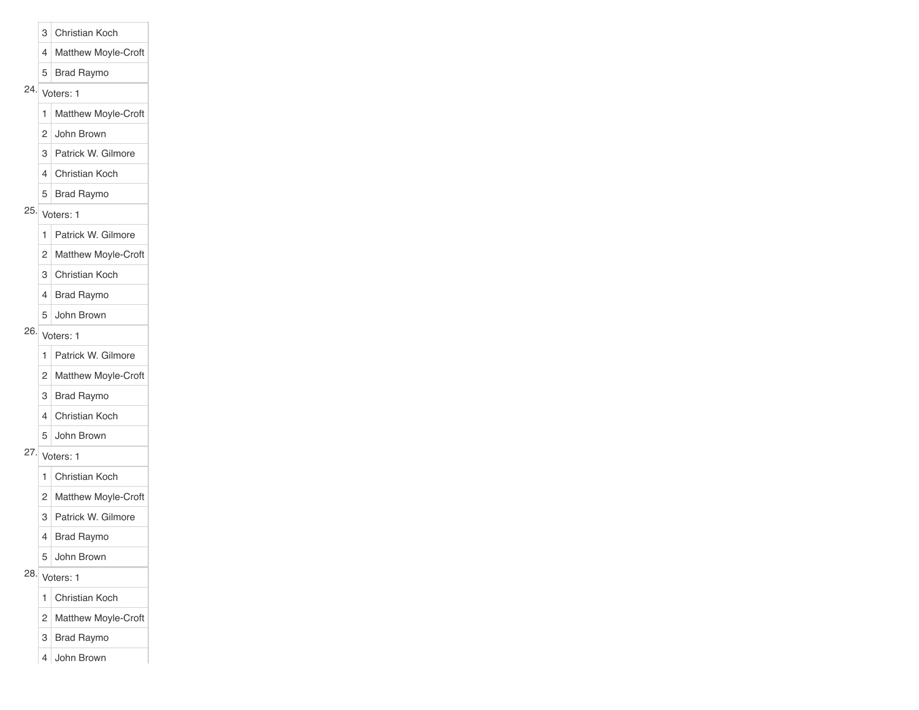- 3 Christian Koch
- 4 Matthew Moyle-Croft
- 5 Brad Raymo
- 24. Voters: 1
	- 1 Matthew Moyle-Croft
	- 2 John Brown
	- 3 Patrick W. Gilmore
	- 4 Christian Koch
	- 5 Brad Raymo
- 25. Voters: 1
	- 1 Patrick W. Gilmore
	- 2 Matthew Moyle-Croft
	- 3 Christian Koch
	- 4 Brad Raymo
	- 5 John Brown
- $26.$  Voters: 1
	- 1 Patrick W. Gilmore
	- 2 Matthew Moyle-Croft
	- 3 Brad Raymo
	- 4 Christian Koch
	- 5 John Brown
- $27.\overline{\phantom{0}}$  Voters: 1
	- 1 Christian Koch
	- 2 Matthew Moyle-Croft
	- 3 Patrick W. Gilmore
	- 4 Brad Raymo
	- 5 John Brown
- 28. Voters: 1
	- 1 Christian Koch
	- 2 Matthew Moyle-Croft
	- 3 Brad Raymo
	- 4 John Brown